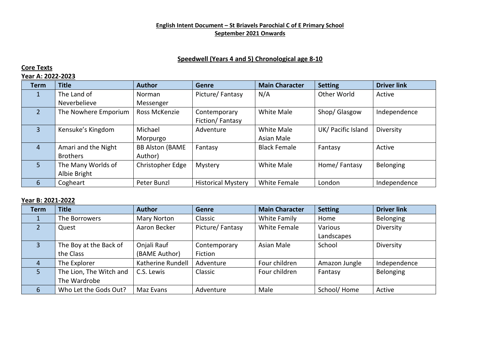### **English Intent Document – St Briavels Parochial C of E Primary School September 2021 Onwards**

## **Speedwell (Years 4 and 5) Chronological age 8-10**

## **Core Texts**

## **Year A: 2022-2023**

| <b>Term</b>    | <b>Title</b>         | <b>Author</b>          | <b>Genre</b>              | <b>Main Character</b> | <b>Setting</b>     | <b>Driver link</b> |
|----------------|----------------------|------------------------|---------------------------|-----------------------|--------------------|--------------------|
| 1              | The Land of          | Norman                 | Picture/Fantasy           | N/A                   | Other World        | Active             |
|                | Neverbelieve         | Messenger              |                           |                       |                    |                    |
| $\mathcal{P}$  | The Nowhere Emporium | Ross McKenzie          | Contemporary              | <b>White Male</b>     | Shop/ Glasgow      | Independence       |
|                |                      |                        | Fiction/Fantasy           |                       |                    |                    |
| $\overline{3}$ | Kensuke's Kingdom    | Michael                | Adventure                 | <b>White Male</b>     | UK/ Pacific Island | Diversity          |
|                |                      | Morpurgo               |                           | Asian Male            |                    |                    |
| $\overline{4}$ | Amari and the Night  | <b>BB Alston (BAME</b> | Fantasy                   | <b>Black Female</b>   | Fantasy            | Active             |
|                | <b>Brothers</b>      | Author)                |                           |                       |                    |                    |
| $\overline{5}$ | The Many Worlds of   | Christopher Edge       | Mystery                   | White Male            | Home/Fantasy       | Belonging          |
|                | Albie Bright         |                        |                           |                       |                    |                    |
| 6              | Cogheart             | Peter Bunzl            | <b>Historical Mystery</b> | White Female          | London             | Independence       |

## **Year B: 2021-2022**

| <b>Term</b>    | <b>Title</b>            | <b>Author</b>      | <b>Genre</b>    | <b>Main Character</b> | <b>Setting</b> | <b>Driver link</b> |
|----------------|-------------------------|--------------------|-----------------|-----------------------|----------------|--------------------|
|                | The Borrowers           | <b>Mary Norton</b> | Classic         | White Family          | Home           | Belonging          |
| $\mathcal{P}$  | Quest                   | Aaron Becker       | Picture/Fantasy | <b>White Female</b>   | Various        | Diversity          |
|                |                         |                    |                 |                       | Landscapes     |                    |
| $\overline{3}$ | The Boy at the Back of  | Onjali Rauf        | Contemporary    | Asian Male            | School         | Diversity          |
|                | the Class               | (BAME Author)      | Fiction         |                       |                |                    |
| 4              | The Explorer            | Katherine Rundell  | Adventure       | Four children         | Amazon Jungle  | Independence       |
| 5.             | The Lion, The Witch and | C.S. Lewis         | Classic         | Four children         | Fantasy        | Belonging          |
|                | The Wardrobe            |                    |                 |                       |                |                    |
| 6              | Who Let the Gods Out?   | Maz Evans          | Adventure       | Male                  | School/Home    | Active             |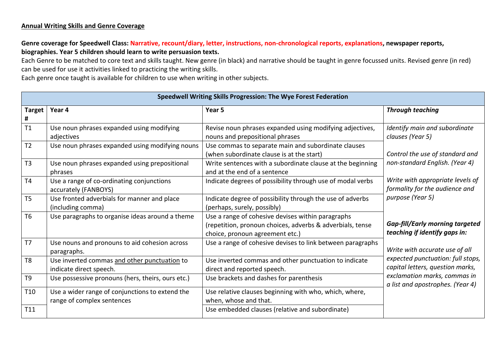## **Annual Writing Skills and Genre Coverage**

# **Genre coverage for Speedwell Class: Narrative, recount/diary, letter, instructions, non-chronological reports, explanations, newspaper reports, biographies. Year 5 children should learn to write persuasion texts.**

Each Genre to be matched to core text and skills taught. New genre (in black) and narrative should be taught in genre focussed units. Revised genre (in red) can be used for use it activities linked to practicing the writing skills.

Each genre once taught is available for children to use when writing in other subjects.

| Speedwell Writing Skills Progression: The Wye Forest Federation |                                                                               |                                                                                                                                                   |                                                                         |  |  |
|-----------------------------------------------------------------|-------------------------------------------------------------------------------|---------------------------------------------------------------------------------------------------------------------------------------------------|-------------------------------------------------------------------------|--|--|
| <b>Target</b><br>#                                              | Year 4                                                                        | Year 5                                                                                                                                            | <b>Through teaching</b>                                                 |  |  |
| T1                                                              | Use noun phrases expanded using modifying<br>adjectives                       | Revise noun phrases expanded using modifying adjectives,<br>nouns and prepositional phrases                                                       | Identify main and subordinate<br>clauses (Year 5)                       |  |  |
| T <sub>2</sub>                                                  | Use noun phrases expanded using modifying nouns                               | Use commas to separate main and subordinate clauses<br>(when subordinate clause is at the start)                                                  | Control the use of standard and                                         |  |  |
| T3                                                              | Use noun phrases expanded using prepositional<br>phrases                      | Write sentences with a subordinate clause at the beginning<br>and at the end of a sentence                                                        | non-standard English. (Year 4)                                          |  |  |
| T4                                                              | Use a range of co-ordinating conjunctions<br>accurately (FANBOYS)             | Indicate degrees of possibility through use of modal verbs                                                                                        | Write with appropriate levels of<br>formality for the audience and      |  |  |
| T <sub>5</sub>                                                  | Use fronted adverbials for manner and place<br>(including comma)              | Indicate degree of possibility through the use of adverbs<br>(perhaps, surely, possibly)                                                          | purpose (Year 5)                                                        |  |  |
| T <sub>6</sub>                                                  | Use paragraphs to organise ideas around a theme                               | Use a range of cohesive devises within paragraphs<br>(repetition, pronoun choices, adverbs & adverbials, tense<br>choice, pronoun agreement etc.) | <b>Gap-fill/Early morning targeted</b><br>teaching if identify gaps in: |  |  |
| T <sub>7</sub>                                                  | Use nouns and pronouns to aid cohesion across<br>paragraphs.                  | Use a range of cohesive devises to link between paragraphs                                                                                        | Write with accurate use of all                                          |  |  |
| T <sub>8</sub>                                                  | Use inverted commas and other punctuation to<br>indicate direct speech.       | Use inverted commas and other punctuation to indicate<br>direct and reported speech.                                                              | expected punctuation: full stops,<br>capital letters, question marks,   |  |  |
| T <sub>9</sub>                                                  | Use possessive pronouns (hers, theirs, ours etc.)                             | Use brackets and dashes for parenthesis                                                                                                           | exclamation marks, commas in<br>a list and apostrophes. (Year 4)        |  |  |
| T <sub>10</sub>                                                 | Use a wider range of conjunctions to extend the<br>range of complex sentences | Use relative clauses beginning with who, which, where,<br>when, whose and that.                                                                   |                                                                         |  |  |
| T11                                                             |                                                                               | Use embedded clauses (relative and subordinate)                                                                                                   |                                                                         |  |  |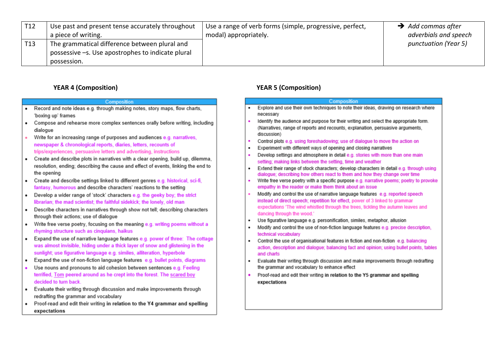| T12 | Use past and present tense accurately throughout<br>a piece of writing.                            | Use a range of verb forms (simple, progressive, perfect,<br>modal) appropriately. | $\rightarrow$ Add commas after<br>adverbials and speech |
|-----|----------------------------------------------------------------------------------------------------|-----------------------------------------------------------------------------------|---------------------------------------------------------|
| T13 | The grammatical difference between plural and<br>possessive -s. Use apostrophes to indicate plural |                                                                                   | punctuation (Year 5)                                    |
|     | possession.                                                                                        |                                                                                   |                                                         |

#### **YEAR 4 (Composition)**

#### Composition

- Record and note ideas e.g. through making notes, story maps, flow charts,  $\bullet$ 'boxing up' frames
- Compose and rehearse more complex sentences orally before writing, including  $\bullet$ dialogue
- Write for an increasing range of purposes and audiences e.g. narratives, ä newspaper & chronological reports, diaries, letters, recounts of trips/experiences, persuasive letters and advertising, instructions
- Create and describe plots in narratives with a clear opening, build up, dilemma,  $\bullet$ resolution, ending; describing the cause and effect of events, linking the end to the opening
- Create and describe settings linked to different genres e.g. historical, sci-fi,  $\bullet$ fantasy, humorous and describe characters' reactions to the setting
- Develop a wider range of 'stock' characters e.g. the geeky boy; the strict  $\bullet$ librarian; the mad scientist; the faithful sidekick; the lonely, old man
- Describe characters in narratives through show not tell; describing characters  $\bullet$ through their actions; use of dialogue
- Write free verse poetry, focusing on the meaning e.g. writing poems without a  $\bullet$ rhyming structure such as cinquians, haikus
- Expand the use of narrative language features e.g. power of three: The cottage  $\bullet$ was almost invisible, hiding under a thick layer of snow and glistening in the sunlight; use figurative language e.g. similes, alliteration, hyperbole
- Expand the use of non-fiction language features e.g. bullet points, diagrams  $\bullet$
- Use nouns and pronouns to aid cohesion between sentences e.g. Feeling terrified. Tom peered around as he crept into the forest. The scared boy decided to turn back.
- Evaluate their writing through discussion and make improvements through  $\bullet$ redrafting the grammar and vocabulary
- Proof-read and edit their writing in relation to the Y4 grammar and spelling  $\bullet$ expectations

## **YEAR 5 (Composition)**

|   | <b>Composition</b>                                                                                                                                                                                                                                   |
|---|------------------------------------------------------------------------------------------------------------------------------------------------------------------------------------------------------------------------------------------------------|
| ٠ | Explore and use their own techniques to note their ideas, drawing on research where<br>necessary                                                                                                                                                     |
| ٠ | Identify the audience and purpose for their writing and select the appropriate form.<br>(Narratives, range of reports and recounts, explanation, persuasive arguments,<br>discussion)                                                                |
| ٠ | Control plots e.g. using foreshadowing; use of dialogue to move the action on                                                                                                                                                                        |
| ٠ | Experiment with different ways of opening and closing narratives                                                                                                                                                                                     |
| ۰ | Develop settings and atmosphere in detail e.g. stories with more than one main<br>setting; making links between the setting, time and weather                                                                                                        |
| ٠ | Extend their range of stock characters; develop characters in detail e.g. through using<br>dialogue; describing how others react to them and how they change over time                                                                               |
| ٠ | Write free verse poetry with a specific purpose e.g. narrative poems; poetry to provoke<br>empathy in the reader or make them think about an issue                                                                                                   |
| ٠ | Modify and control the use of narrative language features e.g. reported speech<br>instead of direct speech; repetition for effect, power of 3 linked to grammar<br>expectations 'The wind whistled through the trees, tickling the autumn leaves and |
|   | dancing through the wood.'                                                                                                                                                                                                                           |
| ٠ | Use figurative language e.g. personification, similes, metaphor, allusion                                                                                                                                                                            |
| ٠ | Modify and control the use of non-fiction language features e.g. precise description.<br>technical vocabulary                                                                                                                                        |
| ٠ | Control the use of organisational features in fiction and non-fiction e.g. balancing<br>action, description and dialogue; balancing fact and opinion; using bullet points, tables<br>and charts                                                      |
| ٠ | Evaluate their writing through discussion and make improvements through redrafting<br>the grammar and vocabulary to enhance effect                                                                                                                   |
|   | Proof-read and edit their writing in relation to the Y5 grammar and spelling<br>expectations                                                                                                                                                         |